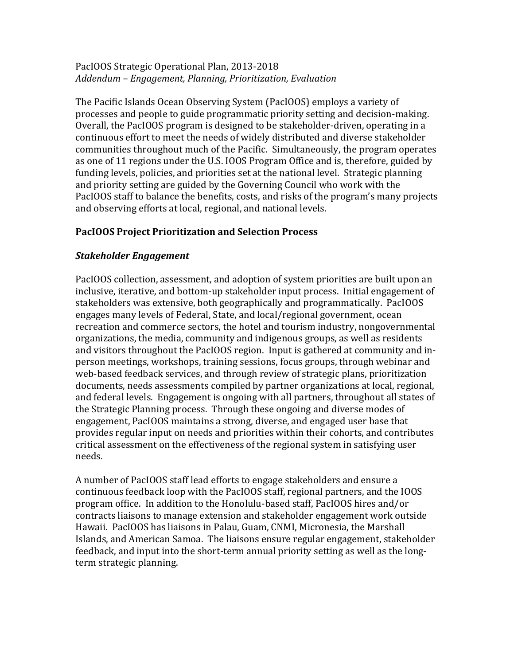### PacIOOS Strategic Operational Plan, 2013-2018 *Addendum – Engagement, Planning, Prioritization, Evaluation*

The Pacific Islands Ocean Observing System (PacIOOS) employs a variety of processes and people to guide programmatic priority setting and decision-making. Overall, the PacIOOS program is designed to be stakeholder-driven, operating in a continuous effort to meet the needs of widely distributed and diverse stakeholder communities throughout much of the Pacific. Simultaneously, the program operates as one of 11 regions under the U.S. IOOS Program Office and is, therefore, guided by funding levels, policies, and priorities set at the national level. Strategic planning and priority setting are guided by the Governing Council who work with the PacIOOS staff to balance the benefits, costs, and risks of the program's many projects and observing efforts at local, regional, and national levels.

# **PacIOOS Project Prioritization and Selection Process**

### *Stakeholder Engagement*

PacIOOS collection, assessment, and adoption of system priorities are built upon an inclusive, iterative, and bottom-up stakeholder input process. Initial engagement of stakeholders was extensive, both geographically and programmatically. PacIOOS engages many levels of Federal, State, and local/regional government, ocean recreation and commerce sectors, the hotel and tourism industry, nongovernmental organizations, the media, community and indigenous groups, as well as residents and visitors throughout the PacIOOS region. Input is gathered at community and inperson meetings, workshops, training sessions, focus groups, through webinar and web-based feedback services, and through review of strategic plans, prioritization documents, needs assessments compiled by partner organizations at local, regional, and federal levels. Engagement is ongoing with all partners, throughout all states of the Strategic Planning process. Through these ongoing and diverse modes of engagement, PacIOOS maintains a strong, diverse, and engaged user base that provides regular input on needs and priorities within their cohorts, and contributes critical assessment on the effectiveness of the regional system in satisfying user needs. 

A number of PacIOOS staff lead efforts to engage stakeholders and ensure a continuous feedback loop with the PacIOOS staff, regional partners, and the IOOS program office. In addition to the Honolulu-based staff, PacIOOS hires and/or contracts liaisons to manage extension and stakeholder engagement work outside Hawaii. PacIOOS has liaisons in Palau, Guam, CNMI, Micronesia, the Marshall Islands, and American Samoa. The liaisons ensure regular engagement, stakeholder feedback, and input into the short-term annual priority setting as well as the longterm strategic planning.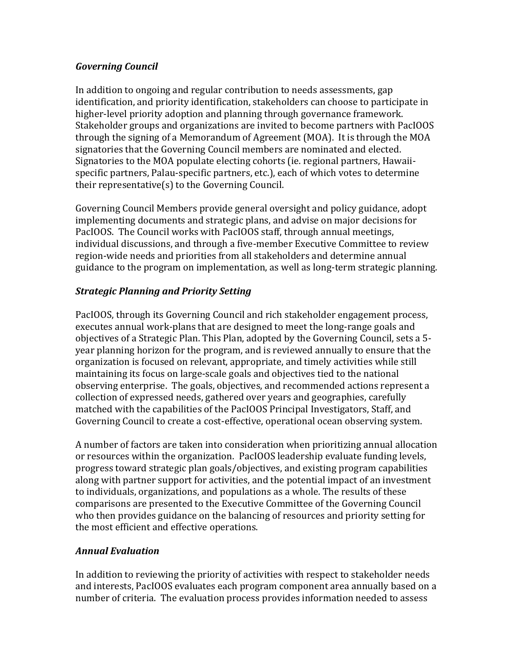### *Governing Council*

In addition to ongoing and regular contribution to needs assessments, gap identification, and priority identification, stakeholders can choose to participate in higher-level priority adoption and planning through governance framework. Stakeholder groups and organizations are invited to become partners with PacIOOS through the signing of a Memorandum of Agreement (MOA). It is through the MOA signatories that the Governing Council members are nominated and elected. Signatories to the MOA populate electing cohorts (ie. regional partners, Hawaiispecific partners, Palau-specific partners, etc.), each of which votes to determine their representative $(s)$  to the Governing Council.

Governing Council Members provide general oversight and policy guidance, adopt implementing documents and strategic plans, and advise on major decisions for PacIOOS. The Council works with PacIOOS staff, through annual meetings, individual discussions, and through a five-member Executive Committee to review region-wide needs and priorities from all stakeholders and determine annual guidance to the program on implementation, as well as long-term strategic planning.

# *Strategic Planning and Priority Setting*

PacIOOS, through its Governing Council and rich stakeholder engagement process, executes annual work-plans that are designed to meet the long-range goals and objectives of a Strategic Plan. This Plan, adopted by the Governing Council, sets a 5year planning horizon for the program, and is reviewed annually to ensure that the organization is focused on relevant, appropriate, and timely activities while still maintaining its focus on large-scale goals and objectives tied to the national observing enterprise. The goals, objectives, and recommended actions represent a collection of expressed needs, gathered over years and geographies, carefully matched with the capabilities of the PacIOOS Principal Investigators, Staff, and Governing Council to create a cost-effective, operational ocean observing system.

A number of factors are taken into consideration when prioritizing annual allocation or resources within the organization. PacIOOS leadership evaluate funding levels, progress toward strategic plan goals/objectives, and existing program capabilities along with partner support for activities, and the potential impact of an investment to individuals, organizations, and populations as a whole. The results of these comparisons are presented to the Executive Committee of the Governing Council who then provides guidance on the balancing of resources and priority setting for the most efficient and effective operations.

# *Annual Evaluation*

In addition to reviewing the priority of activities with respect to stakeholder needs and interests, PacIOOS evaluates each program component area annually based on a number of criteria. The evaluation process provides information needed to assess